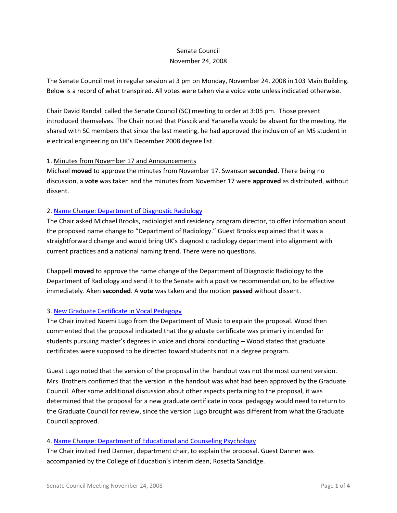# Senate Council November 24, 2008

The Senate Council met in regular session at 3 pm on Monday, November 24, 2008 in 103 Main Building. Below is a record of what transpired. All votes were taken via a voice vote unless indicated otherwise.

Chair David Randall called the Senate Council (SC) meeting to order at 3:05 pm. Those present introduced themselves. The Chair noted that Piascik and Yanarella would be absent for the meeting. He shared with SC members that since the last meeting, he had approved the inclusion of an MS student in electrical engineering on UK's December 2008 degree list.

#### 1. Minutes from November 17 and Announcements

Michael **moved** to approve the minutes from November 17. Swanson **seconded**. There being no discussion, a **vote** was taken and the minutes from November 17 were **approved** as distributed, without dissent.

### 2. [Name Change: Department of Diagnostic Radiology](http://www.uky.edu/USC/New/files/Dept%20of%20Diagnostic%20Radiology%20-%20Name%20Change_Complete.pdf)

The Chair asked Michael Brooks, radiologist and residency program director, to offer information about the proposed name change to "Department of Radiology." Guest Brooks explained that it was a straightforward change and would bring UK's diagnostic radiology department into alignment with current practices and a national naming trend. There were no questions.

Chappell **moved** to approve the name change of the Department of Diagnostic Radiology to the Department of Radiology and send it to the Senate with a positive recommendation, to be effective immediately. Aken **seconded**. A **vote** was taken and the motion **passed** without dissent.

## 3. [New Graduate Certificate in Vocal Pedagogy](http://www.uky.edu/USC/New/files/Grad%20Cert%20Vocal%20Pedagogy_Complete_Complete.pdf)

The Chair invited Noemi Lugo from the Department of Music to explain the proposal. Wood then commented that the proposal indicated that the graduate certificate was primarily intended for students pursuing master's degrees in voice and choral conducting – Wood stated that graduate certificates were supposed to be directed toward students not in a degree program.

Guest Lugo noted that the version of the proposal in the handout was not the most current version. Mrs. Brothers confirmed that the version in the handout was what had been approved by the Graduate Council. After some additional discussion about other aspects pertaining to the proposal, it was determined that the proposal for a new graduate certificate in vocal pedagogy would need to return to the Graduate Council for review, since the version Lugo brought was different from what the Graduate Council approved.

## 4. [Name Change: Department of Educational and Counseling Psychology](http://www.uky.edu/USC/New/files/Dept%20Edu%20&%20Counsl%20Psych-Name%20Change_Complete.pdf)

The Chair invited Fred Danner, department chair, to explain the proposal. Guest Danner was accompanied by the College of Education's interim dean, Rosetta Sandidge.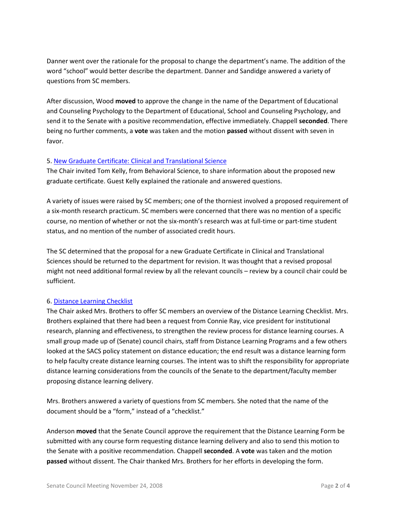Danner went over the rationale for the proposal to change the department's name. The addition of the word "school" would better describe the department. Danner and Sandidge answered a variety of questions from SC members.

After discussion, Wood **moved** to approve the change in the name of the Department of Educational and Counseling Psychology to the Department of Educational, School and Counseling Psychology, and send it to the Senate with a positive recommendation, effective immediately. Chappell **seconded**. There being no further comments, a **vote** was taken and the motion **passed** without dissent with seven in favor.

### 5. [New Graduate Certificate: Clinical and Translational Science](http://www.uky.edu/USC/New/files/Grad%20Cert%20Clinical%20&%20Translational%20Sci%20-%20New%20Grad%20Cert_Complete.pdf)

The Chair invited Tom Kelly, from Behavioral Science, to share information about the proposed new graduate certificate. Guest Kelly explained the rationale and answered questions.

A variety of issues were raised by SC members; one of the thorniest involved a proposed requirement of a six-month research practicum. SC members were concerned that there was no mention of a specific course, no mention of whether or not the six-month's research was at full-time or part-time student status, and no mention of the number of associated credit hours.

The SC determined that the proposal for a new Graduate Certificate in Clinical and Translational Sciences should be returned to the department for revision. It was thought that a revised proposal might not need additional formal review by all the relevant councils – review by a council chair could be sufficient.

#### 6. [Distance Learning Checklist](http://www.uky.edu/USC/New/files/Distance%20Learning%20Checklist.pdf)

The Chair asked Mrs. Brothers to offer SC members an overview of the Distance Learning Checklist. Mrs. Brothers explained that there had been a request from Connie Ray, vice president for institutional research, planning and effectiveness, to strengthen the review process for distance learning courses. A small group made up of (Senate) council chairs, staff from Distance Learning Programs and a few others looked at the SACS policy statement on distance education; the end result was a distance learning form to help faculty create distance learning courses. The intent was to shift the responsibility for appropriate distance learning considerations from the councils of the Senate to the department/faculty member proposing distance learning delivery.

Mrs. Brothers answered a variety of questions from SC members. She noted that the name of the document should be a "form," instead of a "checklist."

Anderson **moved** that the Senate Council approve the requirement that the Distance Learning Form be submitted with any course form requesting distance learning delivery and also to send this motion to the Senate with a positive recommendation. Chappell **seconded**. A **vote** was taken and the motion **passed** without dissent. The Chair thanked Mrs. Brothers for her efforts in developing the form.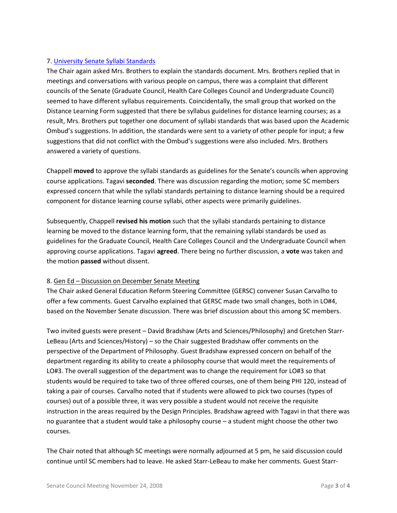# 7. [University Senate Syllabi Standards](http://www.uky.edu/USC/New/files/Senate%20Syllabi%20Guidelines.pdf)

The Chair again asked Mrs. Brothers to explain the standards document. Mrs. Brothers replied that in meetings and conversations with various people on campus, there was a complaint that different councils of the Senate (Graduate Council, Health Care Colleges Council and Undergraduate Council) seemed to have different syllabus requirements. Coincidentally, the small group that worked on the Distance Learning Form suggested that there be syllabus guidelines for distance learning courses; as a result, Mrs. Brothers put together one document of syllabi standards that was based upon the Academic Ombud's suggestions. In addition, the standards were sent to a variety of other people for input; a few suggestions that did not conflict with the Ombud's suggestions were also included. Mrs. Brothers answered a variety of questions.

Chappell **moved** to approve the syllabi standards as guidelines for the Senate's councils when approving course applications. Tagavi **seconded**. There was discussion regarding the motion; some SC members expressed concern that while the syllabi standards pertaining to distance learning should be a required component for distance learning course syllabi, other aspects were primarily guidelines.

Subsequently, Chappell **revised his motion** such that the syllabi standards pertaining to distance learning be moved to the distance learning form, that the remaining syllabi standards be used as guidelines for the Graduate Council, Health Care Colleges Council and the Undergraduate Council when approving course applications. Tagavi **agreed**. There being no further discussion, a **vote** was taken and the motion **passed** without dissent.

## 8. Gen Ed – Discussion on December Senate Meeting

The Chair asked General Education Reform Steering Committee (GERSC) convener Susan Carvalho to offer a few comments. Guest Carvalho explained that GERSC made two small changes, both in LO#4, based on the November Senate discussion. There was brief discussion about this among SC members.

Two invited guests were present – David Bradshaw (Arts and Sciences/Philosophy) and Gretchen Starr-LeBeau (Arts and Sciences/History) – so the Chair suggested Bradshaw offer comments on the perspective of the Department of Philosophy. Guest Bradshaw expressed concern on behalf of the department regarding its ability to create a philosophy course that would meet the requirements of LO#3. The overall suggestion of the department was to change the requirement for LO#3 so that students would be required to take two of three offered courses, one of them being PHI 120, instead of taking a pair of courses. Carvalho noted that if students were allowed to pick two courses (types of courses) out of a possible three, it was very possible a student would not receive the requisite instruction in the areas required by the Design Principles. Bradshaw agreed with Tagavi in that there was no guarantee that a student would take a philosophy course – a student might choose the other two courses.

The Chair noted that although SC meetings were normally adjourned at 5 pm, he said discussion could continue until SC members had to leave. He asked Starr-LeBeau to make her comments. Guest Starr